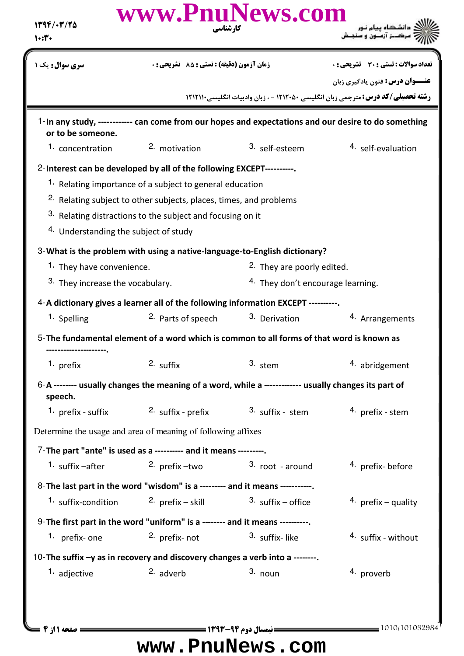| $1799/-7/70$<br>1.5                                                           | www.PnuNews.com<br>کار شناسی                                                                          |                                     |                                                                                                                                   |  |  |
|-------------------------------------------------------------------------------|-------------------------------------------------------------------------------------------------------|-------------------------------------|-----------------------------------------------------------------------------------------------------------------------------------|--|--|
| <b>سری سوال :</b> یک ۱                                                        | زمان آزمون (دقيقه) : تستى : 55 ٪ تشريحي : 0                                                           |                                     | <b>تعداد سوالات : تستی : 30 ٪ تشریحی : 0</b>                                                                                      |  |  |
|                                                                               |                                                                                                       |                                     | <b>عنـــوان درس:</b> فنون يادگيري زبان<br><b>رشته تحصیلی/کد درس:</b> مترجمی زبان انگلیسی ۱۲۱۲۰۵۰ - ، زبان وادبیات انگلیسی ۱۲۱۲۱۱۰ |  |  |
| or to be someone.                                                             | 1-In any study, ------------ can come from our hopes and expectations and our desire to do something  |                                     |                                                                                                                                   |  |  |
| 1. concentration                                                              | 2. motivation                                                                                         | 3. self-esteem                      | 4. self-evaluation                                                                                                                |  |  |
|                                                                               | 2-Interest can be developed by all of the following EXCEPT----------.                                 |                                     |                                                                                                                                   |  |  |
|                                                                               | 1. Relating importance of a subject to general education                                              |                                     |                                                                                                                                   |  |  |
|                                                                               | <sup>2.</sup> Relating subject to other subjects, places, times, and problems                         |                                     |                                                                                                                                   |  |  |
|                                                                               | 3. Relating distractions to the subject and focusing on it                                            |                                     |                                                                                                                                   |  |  |
|                                                                               | <sup>4.</sup> Understanding the subject of study                                                      |                                     |                                                                                                                                   |  |  |
|                                                                               | 3- What is the problem with using a native-language-to-English dictionary?                            |                                     |                                                                                                                                   |  |  |
| 1. They have convenience.                                                     |                                                                                                       | 2. They are poorly edited.          |                                                                                                                                   |  |  |
| 3. They increase the vocabulary.                                              |                                                                                                       | 4. They don't encourage learning.   |                                                                                                                                   |  |  |
|                                                                               | 4-A dictionary gives a learner all of the following information EXCEPT ----------                     |                                     |                                                                                                                                   |  |  |
| 1. Spelling                                                                   | 2. Parts of speech                                                                                    | <sup>3.</sup> Derivation            | 4. Arrangements                                                                                                                   |  |  |
|                                                                               | 5-The fundamental element of a word which is common to all forms of that word is known as             |                                     |                                                                                                                                   |  |  |
| 1. $prefix$                                                                   | $2.$ suffix                                                                                           | 3. stem                             | 4. abridgement                                                                                                                    |  |  |
| speech.                                                                       | 6-A -------- usually changes the meaning of a word, while a ------------- usually changes its part of |                                     |                                                                                                                                   |  |  |
| <b>1.</b> prefix - suffix                                                     | 2. suffix - prefix                                                                                    | 3. suffix - stem                    | 4. prefix - stem                                                                                                                  |  |  |
|                                                                               | Determine the usage and area of meaning of following affixes                                          |                                     |                                                                                                                                   |  |  |
|                                                                               | 7-The part "ante" is used as a ---------- and it means ---------.                                     |                                     |                                                                                                                                   |  |  |
| 1. suffix -after                                                              |                                                                                                       | 2. prefix $-wo$ 3. root - around    | <sup>4.</sup> prefix-before                                                                                                       |  |  |
|                                                                               | 8-The last part in the word "wisdom" is a --------- and it means -----------.                         |                                     |                                                                                                                                   |  |  |
| 1. suffix-condition                                                           | 2. $prefix - skill$                                                                                   | $3. \text{ suffix} - \text{offset}$ | 4. prefix – quality                                                                                                               |  |  |
|                                                                               | 9-The first part in the word "uniform" is a -------- and it means ----------.                         |                                     |                                                                                                                                   |  |  |
| 1. prefix-one                                                                 | 2. prefix- not                                                                                        | 3. suffix-like                      | 4. suffix - without                                                                                                               |  |  |
| 10-The suffix -y as in recovery and discovery changes a verb into a --------. |                                                                                                       |                                     |                                                                                                                                   |  |  |
| 1. adjective                                                                  | 2. adverb                                                                                             | $3.$ noun                           | <sup>4</sup> proverb                                                                                                              |  |  |
|                                                                               |                                                                                                       |                                     |                                                                                                                                   |  |  |
|                                                                               |                                                                                                       |                                     |                                                                                                                                   |  |  |
| صفحه 11; 4 =                                                                  |                                                                                                       |                                     | $=$ 1010/101032984                                                                                                                |  |  |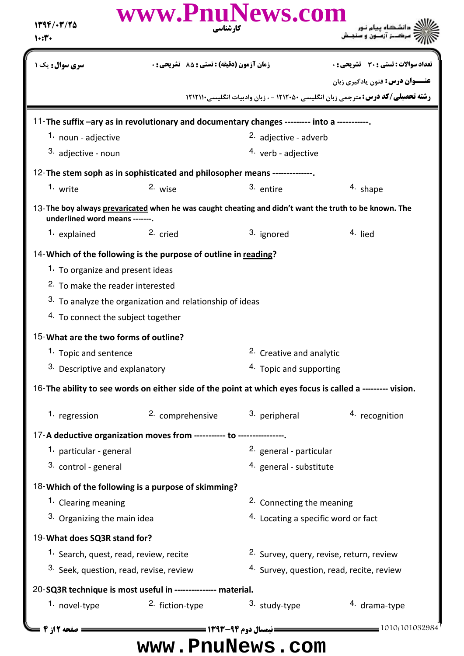| 1394/-3/70<br>1.5                       | www.PnuNews.com<br>کارشناسی                                                                              |                                      |                                                                                         |  |
|-----------------------------------------|----------------------------------------------------------------------------------------------------------|--------------------------------------|-----------------------------------------------------------------------------------------|--|
| <b>سری سوال :</b> یک ۱                  | زمان آزمون (دقيقه) : تستى : 85 تشريحى : 0                                                                |                                      | <b>تعداد سوالات : تستی : 30 ٪ تشریحی : 0</b>                                            |  |
|                                         |                                                                                                          |                                      | <b>عنـــوان درس:</b> فنون یادگیری زبان                                                  |  |
|                                         |                                                                                                          |                                      | <b>رشته تحصیلی/کد درس:</b> مترجمی زبان انگلیسی ۱۲۱۲۰۵۰ - ، زبان وادبیات انگلیسی ۱۲۱۲۱۱۰ |  |
|                                         | 11-The suffix -ary as in revolutionary and documentary changes --------- into a -----------.             |                                      |                                                                                         |  |
| 1. noun - adjective                     |                                                                                                          | <sup>2.</sup> adjective - adverb     |                                                                                         |  |
| 3. adjective - noun                     |                                                                                                          | <sup>4.</sup> verb - adjective       |                                                                                         |  |
|                                         | 12-The stem soph as in sophisticated and philosopher means --------------                                |                                      |                                                                                         |  |
| 1. write                                | 2. wise                                                                                                  | 3. entire                            | 4. shape                                                                                |  |
| underlined word means -------.          | 13-The boy always prevaricated when he was caught cheating and didn't want the truth to be known. The    |                                      |                                                                                         |  |
| 1. explained                            | 2. cried                                                                                                 | 3. ignored                           | 4. lied                                                                                 |  |
|                                         | 14- Which of the following is the purpose of outline in reading?                                         |                                      |                                                                                         |  |
| 1. To organize and present ideas        |                                                                                                          |                                      |                                                                                         |  |
| 2. To make the reader interested        |                                                                                                          |                                      |                                                                                         |  |
|                                         | 3. To analyze the organization and relationship of ideas                                                 |                                      |                                                                                         |  |
| 4. To connect the subject together      |                                                                                                          |                                      |                                                                                         |  |
| 15-What are the two forms of outline?   |                                                                                                          |                                      |                                                                                         |  |
| 1. Topic and sentence                   |                                                                                                          | <sup>2.</sup> Creative and analytic  |                                                                                         |  |
| 3. Descriptive and explanatory          |                                                                                                          | 4. Topic and supporting              |                                                                                         |  |
|                                         | 16-The ability to see words on either side of the point at which eyes focus is called a -------- vision. |                                      |                                                                                         |  |
| 1. regression                           | 2. comprehensive                                                                                         | 3. peripheral                        | 4. recognition                                                                          |  |
|                                         | 17-A deductive organization moves from ----------- to ----------------.                                  |                                      |                                                                                         |  |
| 1. particular - general                 |                                                                                                          | 2. general - particular              |                                                                                         |  |
| 3. control - general                    |                                                                                                          | 4. general - substitute              |                                                                                         |  |
|                                         | 18-Which of the following is a purpose of skimming?                                                      |                                      |                                                                                         |  |
| 1. Clearing meaning                     |                                                                                                          | <sup>2.</sup> Connecting the meaning |                                                                                         |  |
| 3. Organizing the main idea             |                                                                                                          | 4. Locating a specific word or fact  |                                                                                         |  |
| 19-What does SQ3R stand for?            |                                                                                                          |                                      |                                                                                         |  |
| 1. Search, quest, read, review, recite  |                                                                                                          |                                      | 2. Survey, query, revise, return, review                                                |  |
| 3. Seek, question, read, revise, review |                                                                                                          |                                      | 4. Survey, question, read, recite, review                                               |  |
|                                         | 20-SQ3R technique is most useful in --------------- material.                                            |                                      |                                                                                         |  |
| 1. novel-type                           | 2. fiction-type                                                                                          | 3. study-type                        | 4. drama-type                                                                           |  |
| ــــــــــ صفحه 12; 4 ـ                 |                                                                                                          |                                      | 1010/101032984                                                                          |  |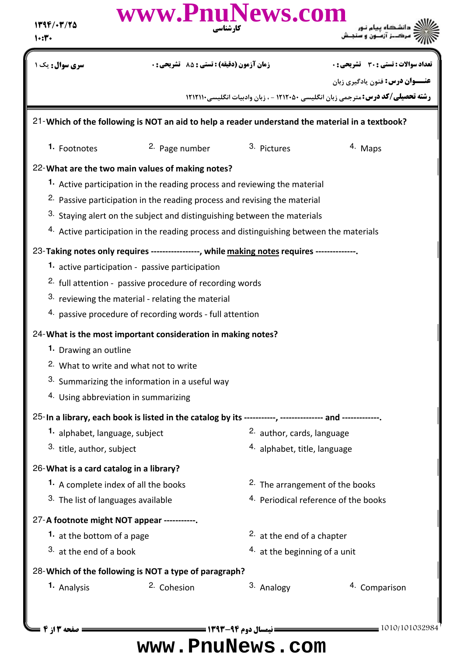| 1394/-7/70<br>1.5                                                                               | www.PnuNews.com<br>کار شناسی                                                                                                                                                                                                                                                                                                                                                                                                                                                               |                                                            |                                                                                                                                   |  |  |  |
|-------------------------------------------------------------------------------------------------|--------------------------------------------------------------------------------------------------------------------------------------------------------------------------------------------------------------------------------------------------------------------------------------------------------------------------------------------------------------------------------------------------------------------------------------------------------------------------------------------|------------------------------------------------------------|-----------------------------------------------------------------------------------------------------------------------------------|--|--|--|
| <b>سری سوال:</b> یک ۱                                                                           | <b>زمان آزمون (دقیقه) : تستی : 85 گشریحی : 0</b>                                                                                                                                                                                                                                                                                                                                                                                                                                           |                                                            | تعداد سوالات : تستي : 30 ٪ تشريحي : 0                                                                                             |  |  |  |
|                                                                                                 |                                                                                                                                                                                                                                                                                                                                                                                                                                                                                            |                                                            | <b>عنـــوان درس:</b> فنون يادگيري زبان<br><b>رشته تحصیلی/کد درس:</b> مترجمی زبان انگلیسی ۱۲۱۲۰۵۰ - ، زبان وادبیات انگلیسی ۱۲۱۲۱۱۰ |  |  |  |
| 21-Which of the following is NOT an aid to help a reader understand the material in a textbook? |                                                                                                                                                                                                                                                                                                                                                                                                                                                                                            |                                                            |                                                                                                                                   |  |  |  |
| 1. Footnotes                                                                                    | 2. Page number                                                                                                                                                                                                                                                                                                                                                                                                                                                                             | 3. Pictures                                                | 4. Maps                                                                                                                           |  |  |  |
|                                                                                                 | 22-What are the two main values of making notes?<br>1. Active participation in the reading process and reviewing the material<br><sup>2.</sup> Passive participation in the reading process and revising the material<br>3. Staying alert on the subject and distinguishing between the materials<br>4. Active participation in the reading process and distinguishing between the materials<br>23-Taking notes only requires ----------------, while making notes requires -------------. |                                                            |                                                                                                                                   |  |  |  |
|                                                                                                 | 1. active participation - passive participation<br><sup>2.</sup> full attention - passive procedure of recording words<br>3. reviewing the material - relating the material<br>4. passive procedure of recording words - full attention                                                                                                                                                                                                                                                    |                                                            |                                                                                                                                   |  |  |  |
| 1. Drawing an outline                                                                           | 24- What is the most important consideration in making notes?<br><sup>2</sup> . What to write and what not to write<br>3. Summarizing the information in a useful way<br>4. Using abbreviation in summarizing                                                                                                                                                                                                                                                                              |                                                            |                                                                                                                                   |  |  |  |
|                                                                                                 | 25-In a library, each book is listed in the catalog by its -----------, --------------- and -------------.                                                                                                                                                                                                                                                                                                                                                                                 |                                                            |                                                                                                                                   |  |  |  |
| 1. alphabet, language, subject<br>3. title, author, subject                                     |                                                                                                                                                                                                                                                                                                                                                                                                                                                                                            | 2. author, cards, language<br>4. alphabet, title, language |                                                                                                                                   |  |  |  |
| 26-What is a card catalog in a library?                                                         |                                                                                                                                                                                                                                                                                                                                                                                                                                                                                            |                                                            |                                                                                                                                   |  |  |  |
|                                                                                                 | 1. A complete index of all the books<br><sup>2.</sup> The arrangement of the books<br>3. The list of languages available<br>4. Periodical reference of the books                                                                                                                                                                                                                                                                                                                           |                                                            |                                                                                                                                   |  |  |  |
|                                                                                                 | 27-A footnote might NOT appear -----------.                                                                                                                                                                                                                                                                                                                                                                                                                                                |                                                            |                                                                                                                                   |  |  |  |
| 1. at the bottom of a page<br><sup>2</sup> at the end of a chapter                              |                                                                                                                                                                                                                                                                                                                                                                                                                                                                                            |                                                            |                                                                                                                                   |  |  |  |
|                                                                                                 | 3. at the end of a book<br>4. at the beginning of a unit                                                                                                                                                                                                                                                                                                                                                                                                                                   |                                                            |                                                                                                                                   |  |  |  |
| 28-Which of the following is NOT a type of paragraph?                                           |                                                                                                                                                                                                                                                                                                                                                                                                                                                                                            |                                                            |                                                                                                                                   |  |  |  |
| 1. Analysis                                                                                     | <sup>2.</sup> Cohesion                                                                                                                                                                                                                                                                                                                                                                                                                                                                     | 3. Analogy                                                 | 4. Comparison                                                                                                                     |  |  |  |
| <b>= صفحه 13 ; 4 ـــ</b>                                                                        |                                                                                                                                                                                                                                                                                                                                                                                                                                                                                            |                                                            | 1010/101032984                                                                                                                    |  |  |  |